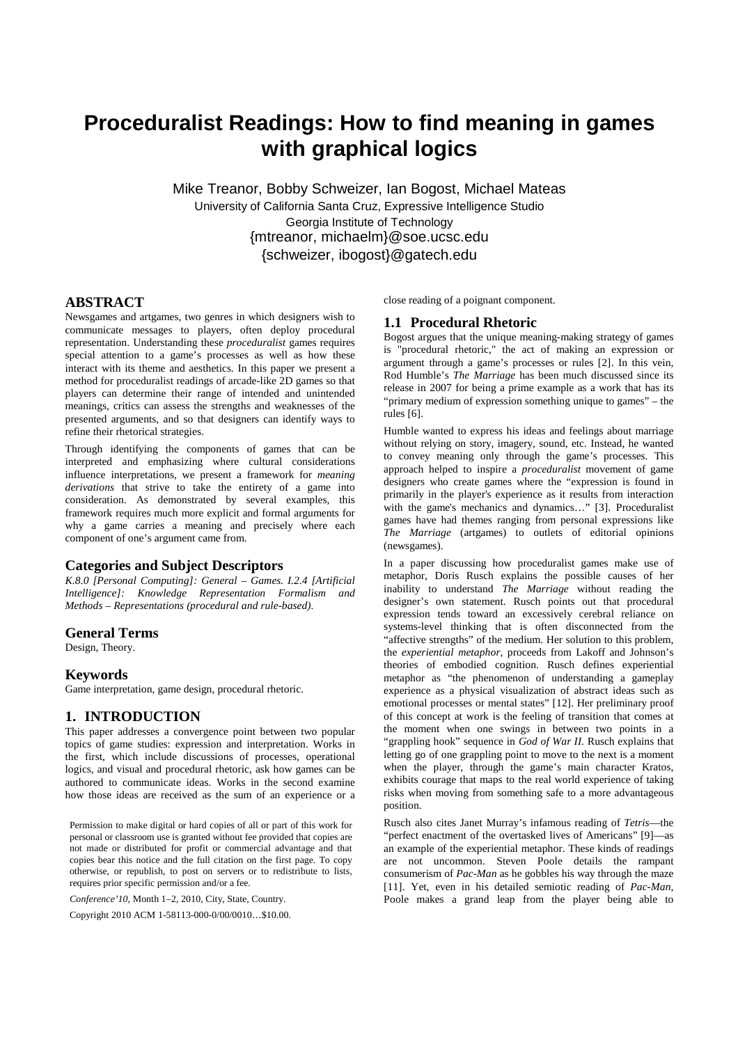# **Proceduralist Readings: How to find meaning in games with graphical logics**

Mike Treanor, Bobby Schweizer, Ian Bogost, Michael Mateas University of California Santa Cruz, Expressive Intelligence Studio Georgia Institute of Technology {mtreanor, michaelm}@soe.ucsc.edu {schweizer, ibogost}@gatech.edu

# **ABSTRACT**

Newsgames and artgames, two genres in which designers wish to communicate messages to players, often deploy procedural representation. Understanding these *proceduralist* games requires special attention to a game's processes as well as how these interact with its theme and aesthetics. In this paper we present a method for proceduralist readings of arcade-like 2D games so that players can determine their range of intended and unintended meanings, critics can assess the strengths and weaknesses of the presented arguments, and so that designers can identify ways to refine their rhetorical strategies.

Through identifying the components of games that can be interpreted and emphasizing where cultural considerations influence interpretations, we present a framework for *meaning derivations* that strive to take the entirety of a game into consideration. As demonstrated by several examples, this framework requires much more explicit and formal arguments for why a game carries a meaning and precisely where each component of one's argument came from.

### **Categories and Subject Descriptors**

*K.8.0 [Personal Computing]: General – Games. I.2.4 [Artificial Intelligence]: Knowledge Representation Formalism and Methods – Representations (procedural and rule-based).* 

### **General Terms**

Design, Theory.

## **Keywords**

Game interpretation, game design, procedural rhetoric.

### **1. INTRODUCTION**

This paper addresses a convergence point between two popular topics of game studies: expression and interpretation. Works in the first, which include discussions of processes, operational logics, and visual and procedural rhetoric, ask how games can be authored to communicate ideas. Works in the second examine how those ideas are received as the sum of an experience or a

Permission to make digital or hard copies of all or part of this work for personal or classroom use is granted without fee provided that copies are not made or distributed for profit or commercial advantage and that copies bear this notice and the full citation on the first page. To copy otherwise, or republish, to post on servers or to redistribute to lists, requires prior specific permission and/or a fee.

*Conference'10*, Month 1–2, 2010, City, State, Country.

Copyright 2010 ACM 1-58113-000-0/00/0010…\$10.00.

close reading of a poignant component.

### **1.1 Procedural Rhetoric**

Bogost argues that the unique meaning-making strategy of games is "procedural rhetoric," the act of making an expression or argument through a game's processes or rules [2]. In this vein, Rod Humble's *The Marriage* has been much discussed since its release in 2007 for being a prime example as a work that has its "primary medium of expression something unique to games" – the rules [6].

Humble wanted to express his ideas and feelings about marriage without relying on story, imagery, sound, etc. Instead, he wanted to convey meaning only through the game's processes. This approach helped to inspire a *proceduralist* movement of game designers who create games where the "expression is found in primarily in the player's experience as it results from interaction with the game's mechanics and dynamics..." [3]. Proceduralist games have had themes ranging from personal expressions like *The Marriage* (artgames) to outlets of editorial opinions (newsgames).

In a paper discussing how proceduralist games make use of metaphor, Doris Rusch explains the possible causes of her inability to understand *The Marriage* without reading the designer's own statement. Rusch points out that procedural expression tends toward an excessively cerebral reliance on systems-level thinking that is often disconnected from the "affective strengths" of the medium. Her solution to this problem, the *experiential metaphor*, proceeds from Lakoff and Johnson's theories of embodied cognition. Rusch defines experiential metaphor as "the phenomenon of understanding a gameplay experience as a physical visualization of abstract ideas such as emotional processes or mental states" [12]. Her preliminary proof of this concept at work is the feeling of transition that comes at the moment when one swings in between two points in a "grappling hook" sequence in *God of War II*. Rusch explains that letting go of one grappling point to move to the next is a moment when the player, through the game's main character Kratos, exhibits courage that maps to the real world experience of taking risks when moving from something safe to a more advantageous position.

Rusch also cites Janet Murray's infamous reading of *Tetris*—the "perfect enactment of the overtasked lives of Americans" [9]—as an example of the experiential metaphor. These kinds of readings are not uncommon. Steven Poole details the rampant consumerism of *Pac-Man* as he gobbles his way through the maze [11]. Yet, even in his detailed semiotic reading of *Pac-Man*, Poole makes a grand leap from the player being able to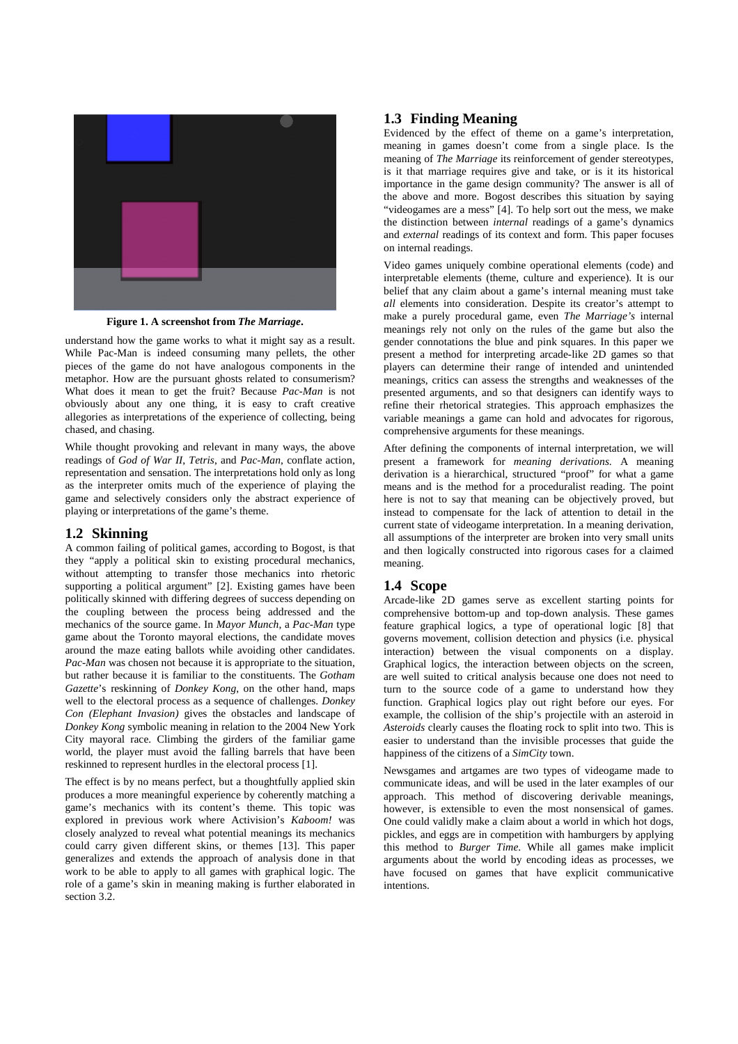

**Figure 1. A screenshot from** *The Marriage***.** 

understand how the game works to what it might say as a result. While Pac-Man is indeed consuming many pellets, the other pieces of the game do not have analogous components in the metaphor. How are the pursuant ghosts related to consumerism? What does it mean to get the fruit? Because *Pac-Man* is not obviously about any one thing, it is easy to craft creative allegories as interpretations of the experience of collecting, being chased, and chasing.

While thought provoking and relevant in many ways, the above readings of *God of War II*, *Tetris*, and *Pac-Man*, conflate action, representation and sensation. The interpretations hold only as long as the interpreter omits much of the experience of playing the game and selectively considers only the abstract experience of playing or interpretations of the game's theme.

# **1.2 Skinning**

A common failing of political games, according to Bogost, is that they "apply a political skin to existing procedural mechanics, without attempting to transfer those mechanics into rhetoric supporting a political argument" [2]. Existing games have been politically skinned with differing degrees of success depending on the coupling between the process being addressed and the mechanics of the source game. In *Mayor Munch*, a *Pac-Man* type game about the Toronto mayoral elections, the candidate moves around the maze eating ballots while avoiding other candidates. *Pac-Man* was chosen not because it is appropriate to the situation, but rather because it is familiar to the constituents. The *Gotham Gazette*'s reskinning of *Donkey Kong*, on the other hand, maps well to the electoral process as a sequence of challenges. *Donkey Con (Elephant Invasion)* gives the obstacles and landscape of *Donkey Kong* symbolic meaning in relation to the 2004 New York City mayoral race. Climbing the girders of the familiar game world, the player must avoid the falling barrels that have been reskinned to represent hurdles in the electoral process [1].

The effect is by no means perfect, but a thoughtfully applied skin produces a more meaningful experience by coherently matching a game's mechanics with its content's theme. This topic was explored in previous work where Activision's *Kaboom!* was closely analyzed to reveal what potential meanings its mechanics could carry given different skins, or themes [13]. This paper generalizes and extends the approach of analysis done in that work to be able to apply to all games with graphical logic. The role of a game's skin in meaning making is further elaborated in section 3.2.

# **1.3 Finding Meaning**

Evidenced by the effect of theme on a game's interpretation, meaning in games doesn't come from a single place. Is the meaning of *The Marriage* its reinforcement of gender stereotypes, is it that marriage requires give and take, or is it its historical importance in the game design community? The answer is all of the above and more. Bogost describes this situation by saying "videogames are a mess" [4]. To help sort out the mess, we make the distinction between *internal* readings of a game's dynamics and *external* readings of its context and form. This paper focuses on internal readings.

Video games uniquely combine operational elements (code) and interpretable elements (theme, culture and experience). It is our belief that any claim about a game's internal meaning must take *all* elements into consideration. Despite its creator's attempt to make a purely procedural game, even *The Marriage's* internal meanings rely not only on the rules of the game but also the gender connotations the blue and pink squares. In this paper we present a method for interpreting arcade-like 2D games so that players can determine their range of intended and unintended meanings, critics can assess the strengths and weaknesses of the presented arguments, and so that designers can identify ways to refine their rhetorical strategies. This approach emphasizes the variable meanings a game can hold and advocates for rigorous, comprehensive arguments for these meanings.

After defining the components of internal interpretation, we will present a framework for *meaning derivations*. A meaning derivation is a hierarchical, structured "proof" for what a game means and is the method for a proceduralist reading. The point here is not to say that meaning can be objectively proved, but instead to compensate for the lack of attention to detail in the current state of videogame interpretation. In a meaning derivation, all assumptions of the interpreter are broken into very small units and then logically constructed into rigorous cases for a claimed meaning.

# **1.4 Scope**

Arcade-like 2D games serve as excellent starting points for comprehensive bottom-up and top-down analysis. These games feature graphical logics, a type of operational logic [8] that governs movement, collision detection and physics (i.e. physical interaction) between the visual components on a display. Graphical logics, the interaction between objects on the screen, are well suited to critical analysis because one does not need to turn to the source code of a game to understand how they function. Graphical logics play out right before our eyes. For example, the collision of the ship's projectile with an asteroid in *Asteroids* clearly causes the floating rock to split into two. This is easier to understand than the invisible processes that guide the happiness of the citizens of a *SimCity* town.

Newsgames and artgames are two types of videogame made to communicate ideas, and will be used in the later examples of our approach. This method of discovering derivable meanings, however, is extensible to even the most nonsensical of games. One could validly make a claim about a world in which hot dogs, pickles, and eggs are in competition with hamburgers by applying this method to *Burger Time*. While all games make implicit arguments about the world by encoding ideas as processes, we have focused on games that have explicit communicative intentions.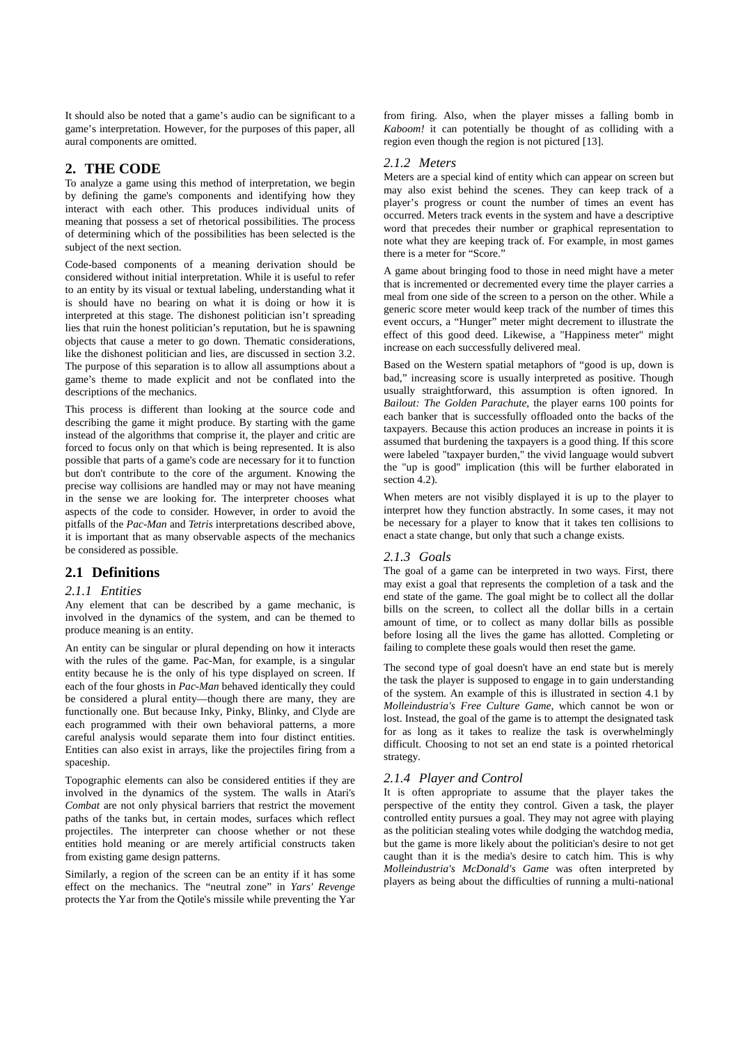It should also be noted that a game's audio can be significant to a game's interpretation. However, for the purposes of this paper, all aural components are omitted.

# **2. THE CODE**

To analyze a game using this method of interpretation, we begin by defining the game's components and identifying how they interact with each other. This produces individual units of meaning that possess a set of rhetorical possibilities. The process of determining which of the possibilities has been selected is the subject of the next section.

Code-based components of a meaning derivation should be considered without initial interpretation. While it is useful to refer to an entity by its visual or textual labeling, understanding what it is should have no bearing on what it is doing or how it is interpreted at this stage. The dishonest politician isn't spreading lies that ruin the honest politician's reputation, but he is spawning objects that cause a meter to go down. Thematic considerations, like the dishonest politician and lies, are discussed in section 3.2. The purpose of this separation is to allow all assumptions about a game's theme to made explicit and not be conflated into the descriptions of the mechanics.

This process is different than looking at the source code and describing the game it might produce. By starting with the game instead of the algorithms that comprise it, the player and critic are forced to focus only on that which is being represented. It is also possible that parts of a game's code are necessary for it to function but don't contribute to the core of the argument. Knowing the precise way collisions are handled may or may not have meaning in the sense we are looking for. The interpreter chooses what aspects of the code to consider. However, in order to avoid the pitfalls of the *Pac-Man* and *Tetris* interpretations described above, it is important that as many observable aspects of the mechanics be considered as possible.

# **2.1 Definitions**

### *2.1.1 Entities*

Any element that can be described by a game mechanic, is involved in the dynamics of the system, and can be themed to produce meaning is an entity.

An entity can be singular or plural depending on how it interacts with the rules of the game. Pac-Man, for example, is a singular entity because he is the only of his type displayed on screen. If each of the four ghosts in *Pac-Man* behaved identically they could be considered a plural entity—though there are many, they are functionally one. But because Inky, Pinky, Blinky, and Clyde are each programmed with their own behavioral patterns, a more careful analysis would separate them into four distinct entities. Entities can also exist in arrays, like the projectiles firing from a spaceship.

Topographic elements can also be considered entities if they are involved in the dynamics of the system. The walls in Atari's *Combat* are not only physical barriers that restrict the movement paths of the tanks but, in certain modes, surfaces which reflect projectiles. The interpreter can choose whether or not these entities hold meaning or are merely artificial constructs taken from existing game design patterns.

Similarly, a region of the screen can be an entity if it has some effect on the mechanics. The "neutral zone" in *Yars' Revenge* protects the Yar from the Qotile's missile while preventing the Yar from firing. Also, when the player misses a falling bomb in *Kaboom!* it can potentially be thought of as colliding with a region even though the region is not pictured [13].

### *2.1.2 Meters*

Meters are a special kind of entity which can appear on screen but may also exist behind the scenes. They can keep track of a player's progress or count the number of times an event has occurred. Meters track events in the system and have a descriptive word that precedes their number or graphical representation to note what they are keeping track of. For example, in most games there is a meter for "Score."

A game about bringing food to those in need might have a meter that is incremented or decremented every time the player carries a meal from one side of the screen to a person on the other. While a generic score meter would keep track of the number of times this event occurs, a "Hunger" meter might decrement to illustrate the effect of this good deed. Likewise, a "Happiness meter" might increase on each successfully delivered meal.

Based on the Western spatial metaphors of "good is up, down is bad," increasing score is usually interpreted as positive. Though usually straightforward, this assumption is often ignored. In *Bailout: The Golden Parachute*, the player earns 100 points for each banker that is successfully offloaded onto the backs of the taxpayers. Because this action produces an increase in points it is assumed that burdening the taxpayers is a good thing. If this score were labeled "taxpayer burden," the vivid language would subvert the "up is good" implication (this will be further elaborated in section 4.2).

When meters are not visibly displayed it is up to the player to interpret how they function abstractly. In some cases, it may not be necessary for a player to know that it takes ten collisions to enact a state change, but only that such a change exists.

### *2.1.3 Goals*

The goal of a game can be interpreted in two ways. First, there may exist a goal that represents the completion of a task and the end state of the game. The goal might be to collect all the dollar bills on the screen, to collect all the dollar bills in a certain amount of time, or to collect as many dollar bills as possible before losing all the lives the game has allotted. Completing or failing to complete these goals would then reset the game.

The second type of goal doesn't have an end state but is merely the task the player is supposed to engage in to gain understanding of the system. An example of this is illustrated in section 4.1 by *Molleindustria's Free Culture Game*, which cannot be won or lost. Instead, the goal of the game is to attempt the designated task for as long as it takes to realize the task is overwhelmingly difficult. Choosing to not set an end state is a pointed rhetorical strategy.

# *2.1.4 Player and Control*

It is often appropriate to assume that the player takes the perspective of the entity they control. Given a task, the player controlled entity pursues a goal. They may not agree with playing as the politician stealing votes while dodging the watchdog media, but the game is more likely about the politician's desire to not get caught than it is the media's desire to catch him. This is why *Molleindustria's McDonald's Game* was often interpreted by players as being about the difficulties of running a multi-national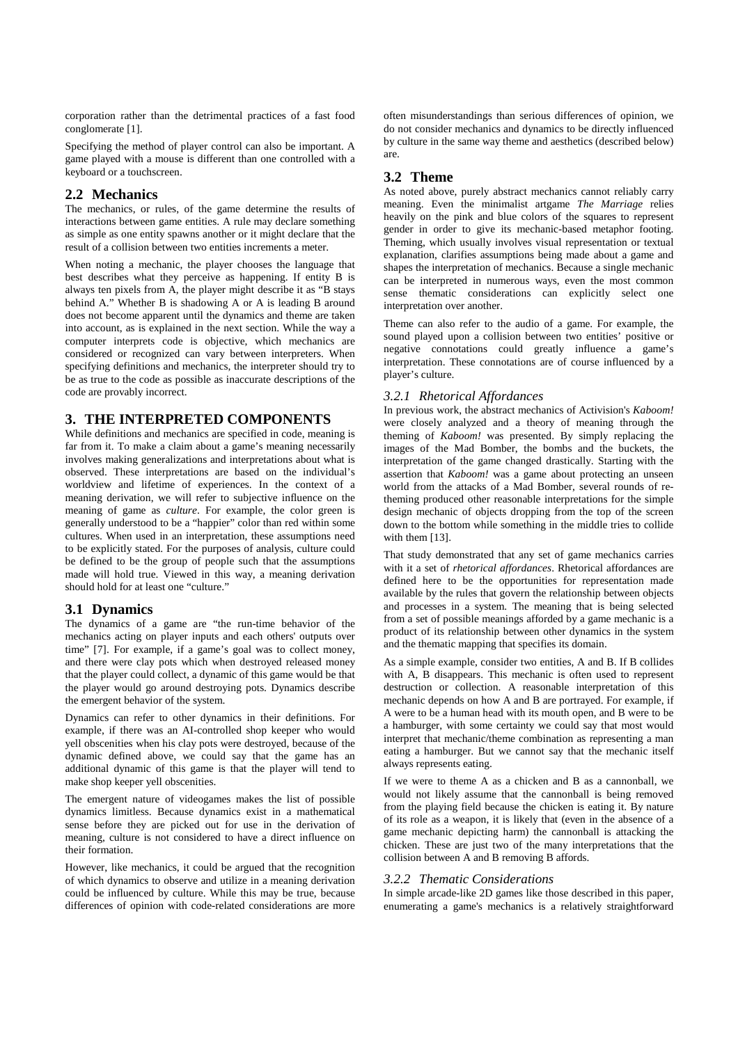corporation rather than the detrimental practices of a fast food conglomerate [1].

Specifying the method of player control can also be important. A game played with a mouse is different than one controlled with a keyboard or a touchscreen.

# **2.2 Mechanics**

The mechanics, or rules, of the game determine the results of interactions between game entities. A rule may declare something as simple as one entity spawns another or it might declare that the result of a collision between two entities increments a meter.

When noting a mechanic, the player chooses the language that best describes what they perceive as happening. If entity B is always ten pixels from A, the player might describe it as "B stays behind A." Whether B is shadowing A or A is leading B around does not become apparent until the dynamics and theme are taken into account, as is explained in the next section. While the way a computer interprets code is objective, which mechanics are considered or recognized can vary between interpreters. When specifying definitions and mechanics, the interpreter should try to be as true to the code as possible as inaccurate descriptions of the code are provably incorrect.

# **3. THE INTERPRETED COMPONENTS**

While definitions and mechanics are specified in code, meaning is far from it. To make a claim about a game's meaning necessarily involves making generalizations and interpretations about what is observed. These interpretations are based on the individual's worldview and lifetime of experiences. In the context of a meaning derivation, we will refer to subjective influence on the meaning of game as *culture*. For example, the color green is generally understood to be a "happier" color than red within some cultures. When used in an interpretation, these assumptions need to be explicitly stated. For the purposes of analysis, culture could be defined to be the group of people such that the assumptions made will hold true. Viewed in this way, a meaning derivation should hold for at least one "culture."

# **3.1 Dynamics**

The dynamics of a game are "the run-time behavior of the mechanics acting on player inputs and each others' outputs over time" [7]. For example, if a game's goal was to collect money, and there were clay pots which when destroyed released money that the player could collect, a dynamic of this game would be that the player would go around destroying pots. Dynamics describe the emergent behavior of the system.

Dynamics can refer to other dynamics in their definitions. For example, if there was an AI-controlled shop keeper who would yell obscenities when his clay pots were destroyed, because of the dynamic defined above, we could say that the game has an additional dynamic of this game is that the player will tend to make shop keeper yell obscenities.

The emergent nature of videogames makes the list of possible dynamics limitless. Because dynamics exist in a mathematical sense before they are picked out for use in the derivation of meaning, culture is not considered to have a direct influence on their formation.

However, like mechanics, it could be argued that the recognition of which dynamics to observe and utilize in a meaning derivation could be influenced by culture. While this may be true, because differences of opinion with code-related considerations are more

often misunderstandings than serious differences of opinion, we do not consider mechanics and dynamics to be directly influenced by culture in the same way theme and aesthetics (described below) are.

# **3.2 Theme**

As noted above, purely abstract mechanics cannot reliably carry meaning. Even the minimalist artgame *The Marriage* relies heavily on the pink and blue colors of the squares to represent gender in order to give its mechanic-based metaphor footing. Theming, which usually involves visual representation or textual explanation, clarifies assumptions being made about a game and shapes the interpretation of mechanics. Because a single mechanic can be interpreted in numerous ways, even the most common sense thematic considerations can explicitly select one interpretation over another.

Theme can also refer to the audio of a game. For example, the sound played upon a collision between two entities' positive or negative connotations could greatly influence a game's interpretation. These connotations are of course influenced by a player's culture.

## *3.2.1 Rhetorical Affordances*

In previous work, the abstract mechanics of Activision's *Kaboom!* were closely analyzed and a theory of meaning through the theming of *Kaboom!* was presented. By simply replacing the images of the Mad Bomber, the bombs and the buckets, the interpretation of the game changed drastically. Starting with the assertion that *Kaboom!* was a game about protecting an unseen world from the attacks of a Mad Bomber, several rounds of retheming produced other reasonable interpretations for the simple design mechanic of objects dropping from the top of the screen down to the bottom while something in the middle tries to collide with them [13].

That study demonstrated that any set of game mechanics carries with it a set of *rhetorical affordances*. Rhetorical affordances are defined here to be the opportunities for representation made available by the rules that govern the relationship between objects and processes in a system. The meaning that is being selected from a set of possible meanings afforded by a game mechanic is a product of its relationship between other dynamics in the system and the thematic mapping that specifies its domain.

As a simple example, consider two entities, A and B. If B collides with A, B disappears. This mechanic is often used to represent destruction or collection. A reasonable interpretation of this mechanic depends on how A and B are portrayed. For example, if A were to be a human head with its mouth open, and B were to be a hamburger, with some certainty we could say that most would interpret that mechanic/theme combination as representing a man eating a hamburger. But we cannot say that the mechanic itself always represents eating.

If we were to theme A as a chicken and B as a cannonball, we would not likely assume that the cannonball is being removed from the playing field because the chicken is eating it. By nature of its role as a weapon, it is likely that (even in the absence of a game mechanic depicting harm) the cannonball is attacking the chicken. These are just two of the many interpretations that the collision between A and B removing B affords.

### *3.2.2 Thematic Considerations*

In simple arcade-like 2D games like those described in this paper, enumerating a game's mechanics is a relatively straightforward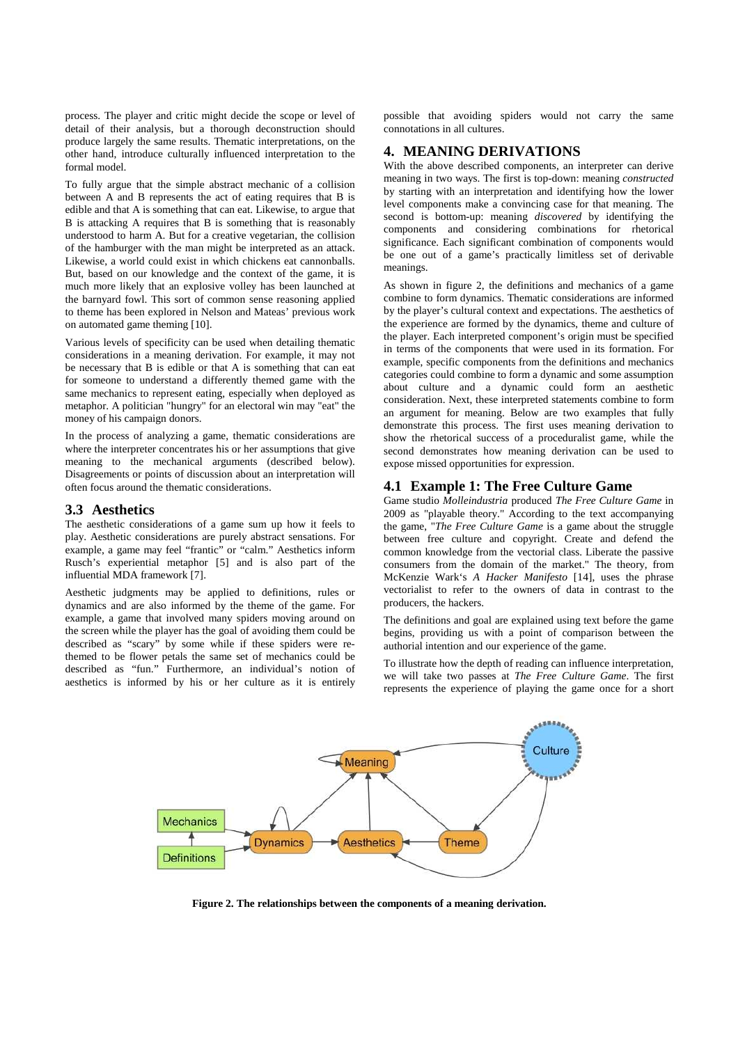process. The player and critic might decide the scope or level of detail of their analysis, but a thorough deconstruction should produce largely the same results. Thematic interpretations, on the other hand, introduce culturally influenced interpretation to the formal model.

To fully argue that the simple abstract mechanic of a collision between A and B represents the act of eating requires that B is edible and that A is something that can eat. Likewise, to argue that B is attacking A requires that B is something that is reasonably understood to harm A. But for a creative vegetarian, the collision of the hamburger with the man might be interpreted as an attack. Likewise, a world could exist in which chickens eat cannonballs. But, based on our knowledge and the context of the game, it is much more likely that an explosive volley has been launched at the barnyard fowl. This sort of common sense reasoning applied to theme has been explored in Nelson and Mateas' previous work on automated game theming [10].

Various levels of specificity can be used when detailing thematic considerations in a meaning derivation. For example, it may not be necessary that B is edible or that A is something that can eat for someone to understand a differently themed game with the same mechanics to represent eating, especially when deployed as metaphor. A politician "hungry" for an electoral win may "eat" the money of his campaign donors.

In the process of analyzing a game, thematic considerations are where the interpreter concentrates his or her assumptions that give meaning to the mechanical arguments (described below). Disagreements or points of discussion about an interpretation will often focus around the thematic considerations.

# **3.3 Aesthetics**

The aesthetic considerations of a game sum up how it feels to play. Aesthetic considerations are purely abstract sensations. For example, a game may feel "frantic" or "calm." Aesthetics inform Rusch's experiential metaphor [5] and is also part of the influential MDA framework [7].

Aesthetic judgments may be applied to definitions, rules or dynamics and are also informed by the theme of the game. For example, a game that involved many spiders moving around on the screen while the player has the goal of avoiding them could be described as "scary" by some while if these spiders were rethemed to be flower petals the same set of mechanics could be described as "fun." Furthermore, an individual's notion of aesthetics is informed by his or her culture as it is entirely possible that avoiding spiders would not carry the same connotations in all cultures.

# **4. MEANING DERIVATIONS**

With the above described components, an interpreter can derive meaning in two ways. The first is top-down: meaning *constructed*  by starting with an interpretation and identifying how the lower level components make a convincing case for that meaning. The second is bottom-up: meaning *discovered* by identifying the components and considering combinations for rhetorical significance. Each significant combination of components would be one out of a game's practically limitless set of derivable meanings.

As shown in figure 2, the definitions and mechanics of a game combine to form dynamics. Thematic considerations are informed by the player's cultural context and expectations. The aesthetics of the experience are formed by the dynamics, theme and culture of the player. Each interpreted component's origin must be specified in terms of the components that were used in its formation. For example, specific components from the definitions and mechanics categories could combine to form a dynamic and some assumption about culture and a dynamic could form an aesthetic consideration. Next, these interpreted statements combine to form an argument for meaning. Below are two examples that fully demonstrate this process. The first uses meaning derivation to show the rhetorical success of a proceduralist game, while the second demonstrates how meaning derivation can be used to expose missed opportunities for expression.

## **4.1 Example 1: The Free Culture Game**

Game studio *Molleindustria* produced *The Free Culture Game* in 2009 as "playable theory." According to the text accompanying the game, "*The Free Culture Game* is a game about the struggle between free culture and copyright. Create and defend the common knowledge from the vectorial class. Liberate the passive consumers from the domain of the market." The theory, from McKenzie Wark's *A Hacker Manifesto* [14], uses the phrase vectorialist to refer to the owners of data in contrast to the producers, the hackers.

The definitions and goal are explained using text before the game begins, providing us with a point of comparison between the authorial intention and our experience of the game.

To illustrate how the depth of reading can influence interpretation, we will take two passes at *The Free Culture Game*. The first represents the experience of playing the game once for a short



**Figure 2. The relationships between the components of a meaning derivation.**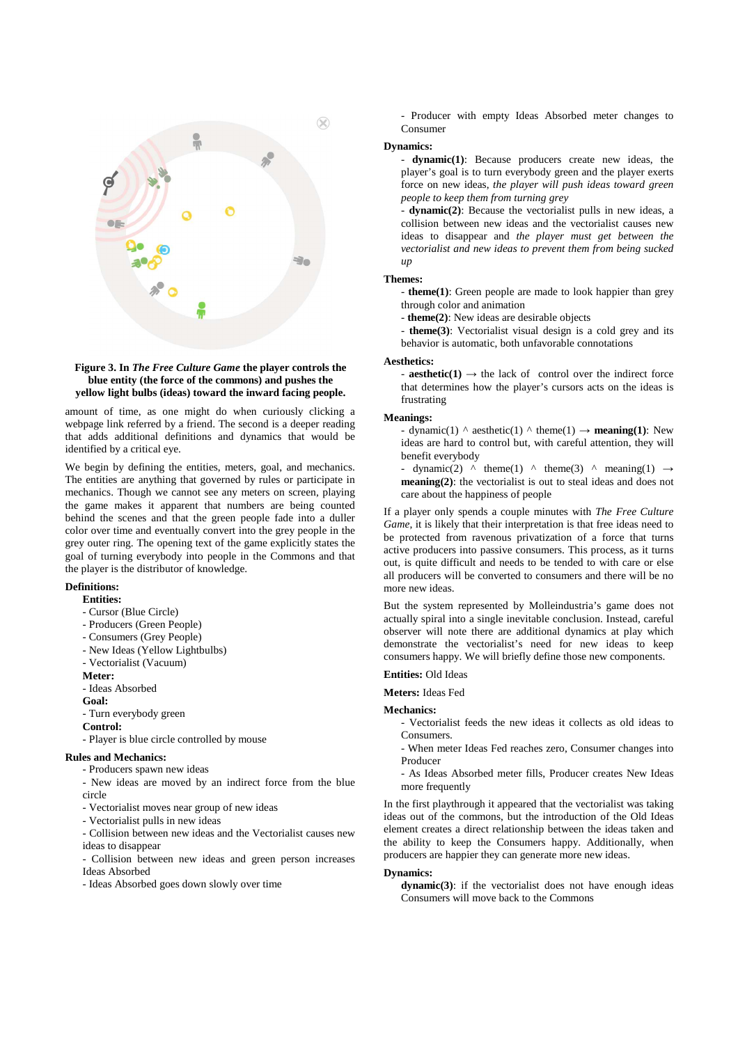

#### **Figure 3. In** *The Free Culture Game* **the player controls the blue entity (the force of the commons) and pushes the yellow light bulbs (ideas) toward the inward facing people.**

amount of time, as one might do when curiously clicking a webpage link referred by a friend. The second is a deeper reading that adds additional definitions and dynamics that would be identified by a critical eye.

We begin by defining the entities, meters, goal, and mechanics. The entities are anything that governed by rules or participate in mechanics. Though we cannot see any meters on screen, playing the game makes it apparent that numbers are being counted behind the scenes and that the green people fade into a duller color over time and eventually convert into the grey people in the grey outer ring. The opening text of the game explicitly states the goal of turning everybody into people in the Commons and that the player is the distributor of knowledge.

#### **Definitions:**

#### **Entities:**

- Cursor (Blue Circle)
- Producers (Green People)
- Consumers (Grey People)
- New Ideas (Yellow Lightbulbs)
- Vectorialist (Vacuum)

#### **Meter:**

- Ideas Absorbed

- **Goal:**
- Turn everybody green

#### **Control:**

- Player is blue circle controlled by mouse

#### **Rules and Mechanics:**

- Producers spawn new ideas
- New ideas are moved by an indirect force from the blue circle
- Vectorialist moves near group of new ideas
- Vectorialist pulls in new ideas
- Collision between new ideas and the Vectorialist causes new ideas to disappear
- Collision between new ideas and green person increases Ideas Absorbed
- Ideas Absorbed goes down slowly over time

- Producer with empty Ideas Absorbed meter changes to Consumer

### **Dynamics:**

- **dynamic(1)**: Because producers create new ideas, the player's goal is to turn everybody green and the player exerts force on new ideas, *the player will push ideas toward green people to keep them from turning grey*

- **dynamic(2)**: Because the vectorialist pulls in new ideas, a collision between new ideas and the vectorialist causes new ideas to disappear and *the player must get between the vectorialist and new ideas to prevent them from being sucked up*

#### **Themes:**

- **theme(1)**: Green people are made to look happier than grey through color and animation

- **theme(2)**: New ideas are desirable objects

- **theme(3)**: Vectorialist visual design is a cold grey and its behavior is automatic, both unfavorable connotations

#### **Aesthetics:**

- **aesthetic(1)**  $\rightarrow$  the lack of control over the indirect force that determines how the player's cursors acts on the ideas is frustrating

#### **Meanings:**

- dynamic(1)  $\land$  aesthetic(1)  $\land$  theme(1)  $\rightarrow$  **meaning(1)**: New ideas are hard to control but, with careful attention, they will benefit everybody

- dynamic(2) ^ theme(1) ^ theme(3) ^ meaning(1)  $\rightarrow$ **meaning(2)**: the vectorialist is out to steal ideas and does not care about the happiness of people

If a player only spends a couple minutes with *The Free Culture Game*, it is likely that their interpretation is that free ideas need to be protected from ravenous privatization of a force that turns active producers into passive consumers. This process, as it turns out, is quite difficult and needs to be tended to with care or else all producers will be converted to consumers and there will be no more new ideas.

But the system represented by Molleindustria's game does not actually spiral into a single inevitable conclusion. Instead, careful observer will note there are additional dynamics at play which demonstrate the vectorialist's need for new ideas to keep consumers happy. We will briefly define those new components.

# **Entities:** Old Ideas

### **Meters:** Ideas Fed

**Mechanics:**

- Vectorialist feeds the new ideas it collects as old ideas to **Consumers**
- When meter Ideas Fed reaches zero, Consumer changes into Producer
- As Ideas Absorbed meter fills, Producer creates New Ideas more frequently

In the first playthrough it appeared that the vectorialist was taking ideas out of the commons, but the introduction of the Old Ideas element creates a direct relationship between the ideas taken and the ability to keep the Consumers happy. Additionally, when producers are happier they can generate more new ideas.

#### **Dynamics:**

**dynamic(3)**: if the vectorialist does not have enough ideas Consumers will move back to the Commons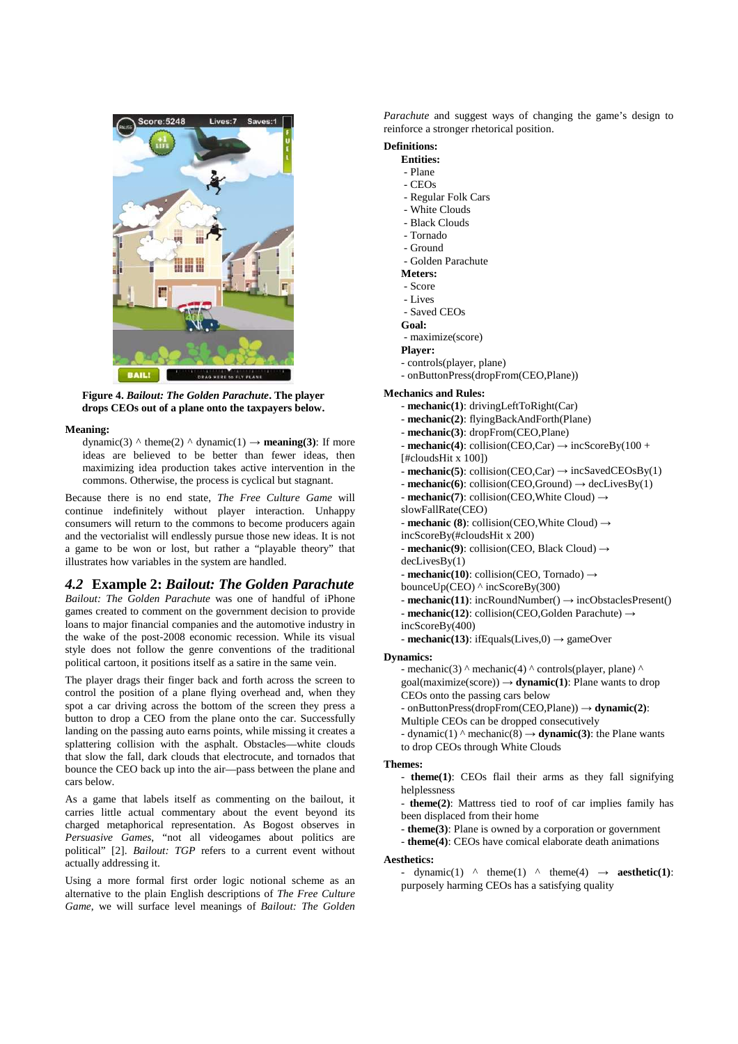

**Figure 4.** *Bailout: The Golden Parachute***. The player drops CEOs out of a plane onto the taxpayers below.**

### **Meaning:**

dynamic(3)  $\land$  theme(2)  $\land$  dynamic(1)  $\rightarrow$  **meaning(3)**: If more ideas are believed to be better than fewer ideas, then maximizing idea production takes active intervention in the commons. Otherwise, the process is cyclical but stagnant.

Because there is no end state, *The Free Culture Game* will continue indefinitely without player interaction. Unhappy consumers will return to the commons to become producers again and the vectorialist will endlessly pursue those new ideas. It is not a game to be won or lost, but rather a "playable theory" that illustrates how variables in the system are handled.

#### *4.2* **Example 2:** *Bailout: The Golden Parachute*

*Bailout: The Golden Parachute* was one of handful of iPhone games created to comment on the government decision to provide loans to major financial companies and the automotive industry in the wake of the post-2008 economic recession. While its visual style does not follow the genre conventions of the traditional political cartoon, it positions itself as a satire in the same vein.

The player drags their finger back and forth across the screen to control the position of a plane flying overhead and, when they spot a car driving across the bottom of the screen they press a button to drop a CEO from the plane onto the car. Successfully landing on the passing auto earns points, while missing it creates a splattering collision with the asphalt. Obstacles—white clouds that slow the fall, dark clouds that electrocute, and tornados that bounce the CEO back up into the air—pass between the plane and cars below.

As a game that labels itself as commenting on the bailout, it carries little actual commentary about the event beyond its charged metaphorical representation. As Bogost observes in *Persuasive Games*, "not all videogames about politics are political" [2]. *Bailout: TGP* refers to a current event without actually addressing it.

Using a more formal first order logic notional scheme as an alternative to the plain English descriptions of *The Free Culture Game*, we will surface level meanings of *Bailout: The Golden* 

*Parachute* and suggest ways of changing the game's design to reinforce a stronger rhetorical position.

# **Definitions:**

- **Entities:** 
	- Plane
	- CEOs
	- Regular Folk Cars
	- White Clouds
	- Black Clouds
	- Tornado - Ground
	-
	- Golden Parachute
	- **Meters:**
	- Score
	- Lives
	- Saved CEOs
	- **Goal:**
	- maximize(score)
- **Player:**
- controls(player, plane)
- onButtonPress(dropFrom(CEO,Plane))
- **Mechanics and Rules:** 
	- **mechanic(1)**: drivingLeftToRight(Car)
	- **mechanic(2)**: flyingBackAndForth(Plane)
	- **mechanic(3)**: dropFrom(CEO,Plane)
	- $-$ **mechanic(4)**: collision(CEO,Car)  $\rightarrow$  incScoreBy(100 +
	- [#cloudsHit x 100])
	- **mechanic(5)**: collision(CEO,Car) → incSavedCEOsBy(1)
	- $-$ **mechanic(6)**: collision(CEO,Ground)  $\rightarrow$  decLivesBy(1)
	- **mechanic(7)**: collision(CEO,White Cloud) →
	- slowFallRate(CEO)
	- **mechanic (8)**: collision(CEO,White Cloud) →
	- incScoreBy(#cloudsHit x 200)
	- **mechanic(9)**: collision(CEO, Black Cloud) →
	- decLivesBy(1)
	- **mechanic(10)**: collision(CEO, Tornado) →
	- bounceUp(CEO) ^ incScoreBy(300)
	- **mechanic(11)**: incRoundNumber() → incObstaclesPresent() - **mechanic(12)**: collision(CEO,Golden Parachute) →
	- incScoreBy(400)
	- $-$ **mechanic(13)**: ifEquals(Lives,0)  $\rightarrow$  gameOver
- **Dynamics:** 
	- mechanic(3)  $\land$  mechanic(4)  $\land$  controls(player, plane)  $\land$ goal(maximize(score)) → **dynamic(1)**: Plane wants to drop
	- CEOs onto the passing cars below
	- onButtonPress(dropFrom(CEO,Plane)) → **dynamic(2)**:
	- Multiple CEOs can be dropped consecutively
	- dynamic(1)  $\land$  mechanic(8)  $\rightarrow$  **dynamic(3)**: the Plane wants to drop CEOs through White Clouds

#### **Themes:**

- **theme(1)**: CEOs flail their arms as they fall signifying helplessness
- **theme(2)**: Mattress tied to roof of car implies family has been displaced from their home
- **theme(3)**: Plane is owned by a corporation or government
- **theme(4)**: CEOs have comical elaborate death animations

### **Aesthetics:**

- dynamic(1)  $\land$  theme(1)  $\land$  theme(4)  $\rightarrow$  **aesthetic(1)**: purposely harming CEOs has a satisfying quality